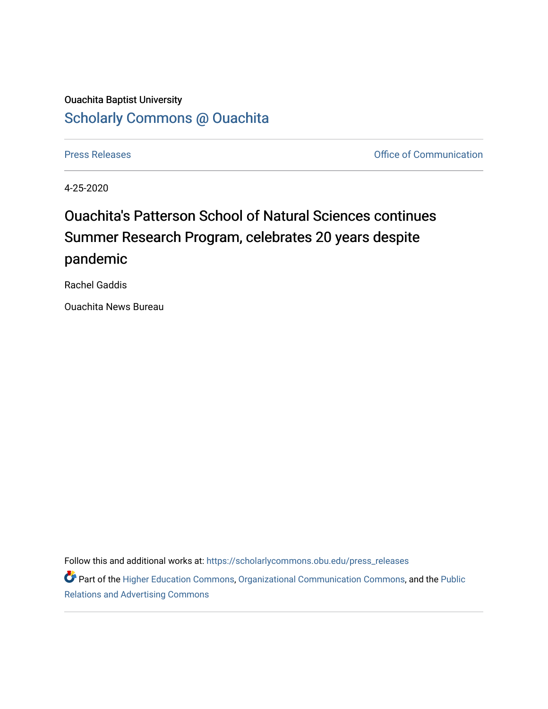## Ouachita Baptist University [Scholarly Commons @ Ouachita](https://scholarlycommons.obu.edu/)

[Press Releases](https://scholarlycommons.obu.edu/press_releases) **Press Releases Communication Press Releases Office of Communication** 

4-25-2020

## Ouachita's Patterson School of Natural Sciences continues Summer Research Program, celebrates 20 years despite pandemic

Rachel Gaddis

Ouachita News Bureau

Follow this and additional works at: [https://scholarlycommons.obu.edu/press\\_releases](https://scholarlycommons.obu.edu/press_releases?utm_source=scholarlycommons.obu.edu%2Fpress_releases%2F761&utm_medium=PDF&utm_campaign=PDFCoverPages)

Part of the [Higher Education Commons,](http://network.bepress.com/hgg/discipline/1245?utm_source=scholarlycommons.obu.edu%2Fpress_releases%2F761&utm_medium=PDF&utm_campaign=PDFCoverPages) [Organizational Communication Commons,](http://network.bepress.com/hgg/discipline/335?utm_source=scholarlycommons.obu.edu%2Fpress_releases%2F761&utm_medium=PDF&utm_campaign=PDFCoverPages) and the [Public](http://network.bepress.com/hgg/discipline/336?utm_source=scholarlycommons.obu.edu%2Fpress_releases%2F761&utm_medium=PDF&utm_campaign=PDFCoverPages) [Relations and Advertising Commons](http://network.bepress.com/hgg/discipline/336?utm_source=scholarlycommons.obu.edu%2Fpress_releases%2F761&utm_medium=PDF&utm_campaign=PDFCoverPages)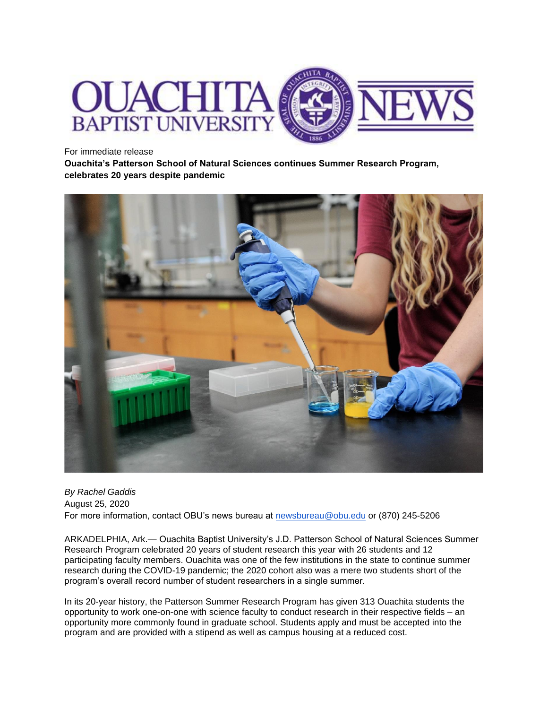

For immediate release

**Ouachita's Patterson School of Natural Sciences continues Summer Research Program, celebrates 20 years despite pandemic**



*By Rachel Gaddis* August 25, 2020 For more information, contact OBU's news bureau at [newsbureau@obu.edu](mailto:newsbureau@obu.edu) or (870) 245-5206

ARKADELPHIA, Ark.— Ouachita Baptist University's J.D. Patterson School of Natural Sciences Summer Research Program celebrated 20 years of student research this year with 26 students and 12 participating faculty members. Ouachita was one of the few institutions in the state to continue summer research during the COVID-19 pandemic; the 2020 cohort also was a mere two students short of the program's overall record number of student researchers in a single summer.

In its 20-year history, the Patterson Summer Research Program has given 313 Ouachita students the opportunity to work one-on-one with science faculty to conduct research in their respective fields – an opportunity more commonly found in graduate school. Students apply and must be accepted into the program and are provided with a stipend as well as campus housing at a reduced cost.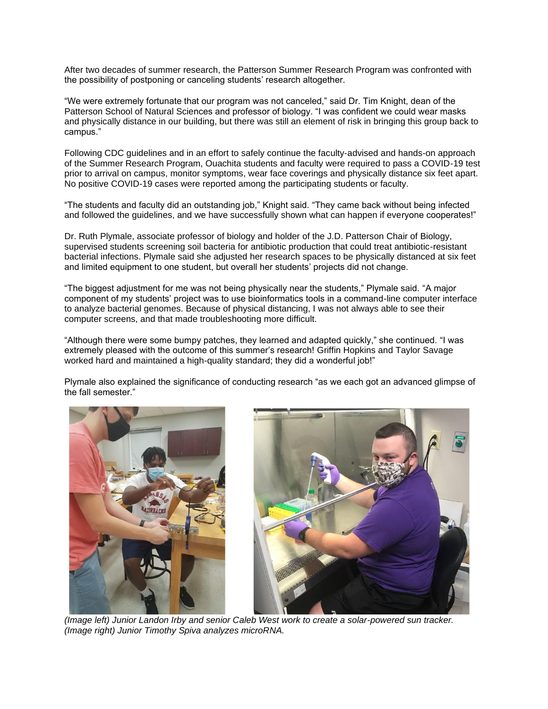After two decades of summer research, the Patterson Summer Research Program was confronted with the possibility of postponing or canceling students' research altogether.

"We were extremely fortunate that our program was not canceled," said Dr. Tim Knight, dean of the Patterson School of Natural Sciences and professor of biology. "I was confident we could wear masks and physically distance in our building, but there was still an element of risk in bringing this group back to campus."

Following CDC guidelines and in an effort to safely continue the faculty-advised and hands-on approach of the Summer Research Program, Ouachita students and faculty were required to pass a COVID-19 test prior to arrival on campus, monitor symptoms, wear face coverings and physically distance six feet apart. No positive COVID-19 cases were reported among the participating students or faculty.

"The students and faculty did an outstanding job," Knight said. "They came back without being infected and followed the guidelines, and we have successfully shown what can happen if everyone cooperates!"

Dr. Ruth Plymale, associate professor of biology and holder of the J.D. Patterson Chair of Biology, supervised students screening soil bacteria for antibiotic production that could treat antibiotic-resistant bacterial infections. Plymale said she adjusted her research spaces to be physically distanced at six feet and limited equipment to one student, but overall her students' projects did not change.

"The biggest adjustment for me was not being physically near the students," Plymale said. "A major component of my students' project was to use bioinformatics tools in a command-line computer interface to analyze bacterial genomes. Because of physical distancing, I was not always able to see their computer screens, and that made troubleshooting more difficult.

"Although there were some bumpy patches, they learned and adapted quickly," she continued. "I was extremely pleased with the outcome of this summer's research! Griffin Hopkins and Taylor Savage worked hard and maintained a high-quality standard; they did a wonderful job!"

Plymale also explained the significance of conducting research "as we each got an advanced glimpse of the fall semester."



*(Image left) Junior Landon Irby and senior Caleb West work to create a solar-powered sun tracker. (Image right) Junior Timothy Spiva analyzes microRNA.*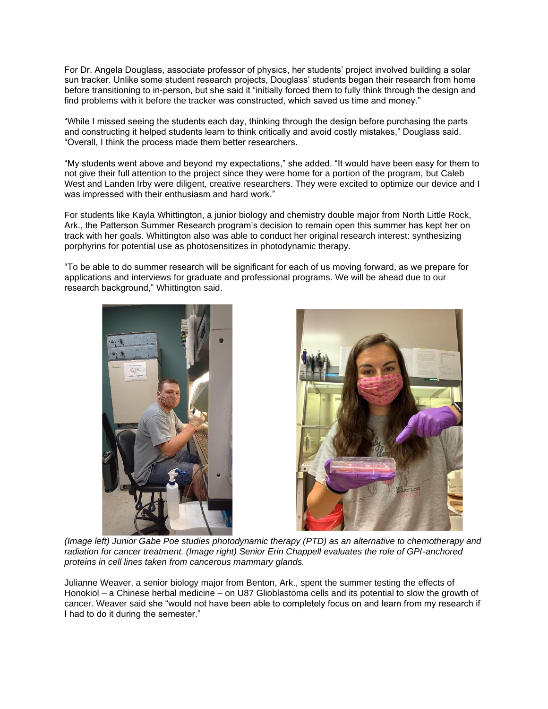For Dr. Angela Douglass, associate professor of physics, her students' project involved building a solar sun tracker. Unlike some student research projects, Douglass' students began their research from home before transitioning to in-person, but she said it "initially forced them to fully think through the design and find problems with it before the tracker was constructed, which saved us time and money."

"While I missed seeing the students each day, thinking through the design before purchasing the parts and constructing it helped students learn to think critically and avoid costly mistakes," Douglass said. "Overall, I think the process made them better researchers.

"My students went above and beyond my expectations," she added. "It would have been easy for them to not give their full attention to the project since they were home for a portion of the program, but Caleb West and Landen Irby were diligent, creative researchers. They were excited to optimize our device and I was impressed with their enthusiasm and hard work."

For students like Kayla Whittington, a junior biology and chemistry double major from North Little Rock, Ark., the Patterson Summer Research program's decision to remain open this summer has kept her on track with her goals. Whittington also was able to conduct her original research interest: synthesizing porphyrins for potential use as photosensitizes in photodynamic therapy.

"To be able to do summer research will be significant for each of us moving forward, as we prepare for applications and interviews for graduate and professional programs. We will be ahead due to our research background," Whittington said.





*(Image left) Junior Gabe Poe studies photodynamic therapy (PTD) as an alternative to chemotherapy and radiation for cancer treatment. (Image right) Senior Erin Chappell evaluates the role of GPI-anchored proteins in cell lines taken from cancerous mammary glands.*

Julianne Weaver, a senior biology major from Benton, Ark., spent the summer testing the effects of Honokiol – a Chinese herbal medicine – on U87 Glioblastoma cells and its potential to slow the growth of cancer. Weaver said she "would not have been able to completely focus on and learn from my research if I had to do it during the semester."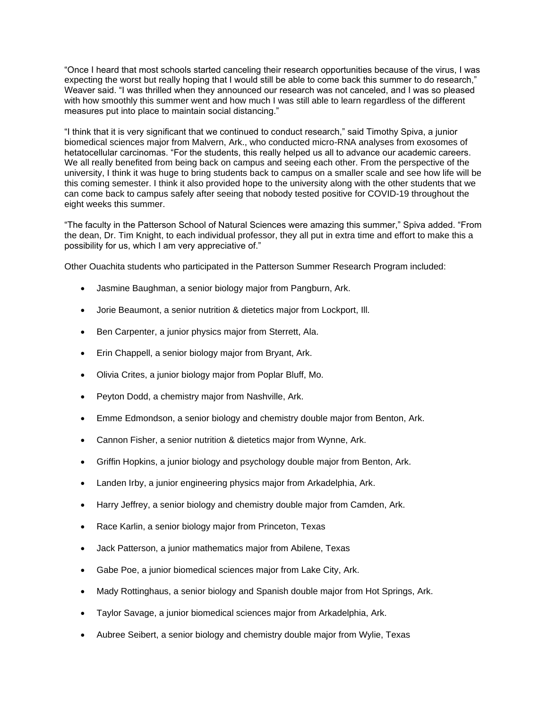"Once I heard that most schools started canceling their research opportunities because of the virus, I was expecting the worst but really hoping that I would still be able to come back this summer to do research," Weaver said. "I was thrilled when they announced our research was not canceled, and I was so pleased with how smoothly this summer went and how much I was still able to learn regardless of the different measures put into place to maintain social distancing."

"I think that it is very significant that we continued to conduct research," said Timothy Spiva, a junior biomedical sciences major from Malvern, Ark., who conducted micro-RNA analyses from exosomes of hetatocellular carcinomas. "For the students, this really helped us all to advance our academic careers. We all really benefited from being back on campus and seeing each other. From the perspective of the university, I think it was huge to bring students back to campus on a smaller scale and see how life will be this coming semester. I think it also provided hope to the university along with the other students that we can come back to campus safely after seeing that nobody tested positive for COVID-19 throughout the eight weeks this summer.

"The faculty in the Patterson School of Natural Sciences were amazing this summer," Spiva added. "From the dean, Dr. Tim Knight, to each individual professor, they all put in extra time and effort to make this a possibility for us, which I am very appreciative of."

Other Ouachita students who participated in the Patterson Summer Research Program included:

- Jasmine Baughman, a senior biology major from Pangburn, Ark.
- Jorie Beaumont, a senior nutrition & dietetics major from Lockport, Ill.
- Ben Carpenter, a junior physics major from Sterrett, Ala.
- Erin Chappell, a senior biology major from Bryant, Ark.
- Olivia Crites, a junior biology major from Poplar Bluff, Mo.
- Peyton Dodd, a chemistry major from Nashville, Ark.
- Emme Edmondson, a senior biology and chemistry double major from Benton, Ark.
- Cannon Fisher, a senior nutrition & dietetics major from Wynne, Ark.
- Griffin Hopkins, a junior biology and psychology double major from Benton, Ark.
- Landen Irby, a junior engineering physics major from Arkadelphia, Ark.
- Harry Jeffrey, a senior biology and chemistry double major from Camden, Ark.
- Race Karlin, a senior biology major from Princeton, Texas
- Jack Patterson, a junior mathematics major from Abilene, Texas
- Gabe Poe, a junior biomedical sciences major from Lake City, Ark.
- Mady Rottinghaus, a senior biology and Spanish double major from Hot Springs, Ark.
- Taylor Savage, a junior biomedical sciences major from Arkadelphia, Ark.
- Aubree Seibert, a senior biology and chemistry double major from Wylie, Texas